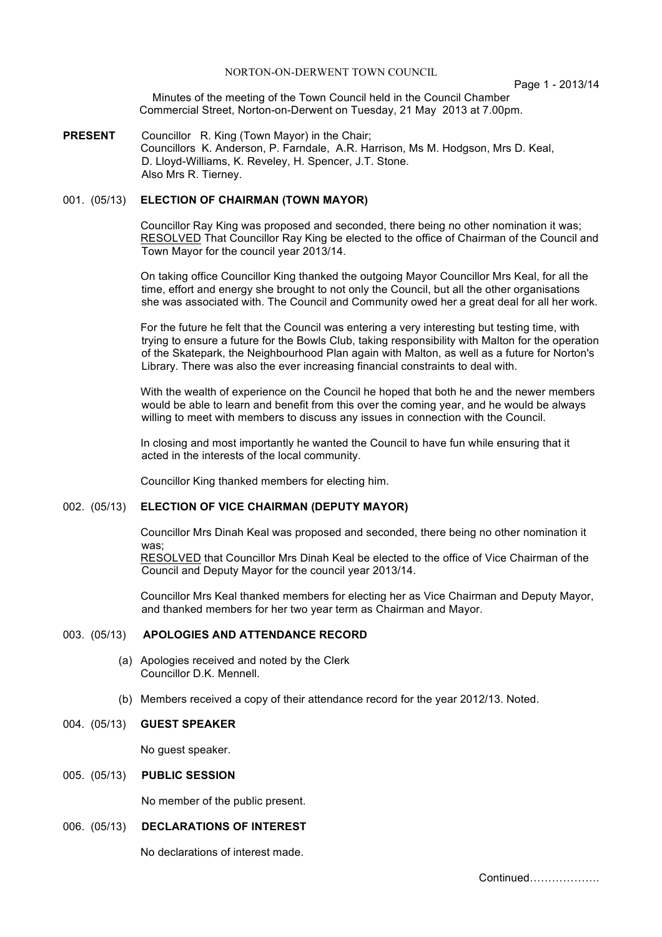Page 1 - 2013/14

Minutes of the meeting of the Town Council held in the Council Chamber Commercial Street, Norton-on-Derwent on Tuesday, 21 May 2013 at 7.00pm.

**PRESENT** Councillor R. King (Town Mayor) in the Chair; Councillors K. Anderson, P. Farndale, A.R. Harrison, Ms M. Hodgson, Mrs D. Keal, D. Lloyd-Williams, K. Reveley, H. Spencer, J.T. Stone. Also Mrs R. Tierney.

### 001. (05/13) **ELECTION OF CHAIRMAN (TOWN MAYOR)**

Councillor Ray King was proposed and seconded, there being no other nomination it was; RESOLVED That Councillor Ray King be elected to the office of Chairman of the Council and Town Mayor for the council year 2013/14.

On taking office Councillor King thanked the outgoing Mayor Councillor Mrs Keal, for all the time, effort and energy she brought to not only the Council, but all the other organisations she was associated with. The Council and Community owed her a great deal for all her work.

For the future he felt that the Council was entering a very interesting but testing time, with trying to ensure a future for the Bowls Club, taking responsibility with Malton for the operation of the Skatepark, the Neighbourhood Plan again with Malton, as well as a future for Norton's Library. There was also the ever increasing financial constraints to deal with.

With the wealth of experience on the Council he hoped that both he and the newer members would be able to learn and benefit from this over the coming year, and he would be always willing to meet with members to discuss any issues in connection with the Council.

In closing and most importantly he wanted the Council to have fun while ensuring that it acted in the interests of the local community.

Councillor King thanked members for electing him.

## 002. (05/13) **ELECTION OF VICE CHAIRMAN (DEPUTY MAYOR)**

Councillor Mrs Dinah Keal was proposed and seconded, there being no other nomination it was:

RESOLVED that Councillor Mrs Dinah Keal be elected to the office of Vice Chairman of the Council and Deputy Mayor for the council year 2013/14.

Councillor Mrs Keal thanked members for electing her as Vice Chairman and Deputy Mayor, and thanked members for her two year term as Chairman and Mayor.

### 003. (05/13) **APOLOGIES AND ATTENDANCE RECORD**

- (a) Apologies received and noted by the Clerk Councillor D.K. Mennell.
- (b) Members received a copy of their attendance record for the year 2012/13. Noted.

### 004. (05/13) **GUEST SPEAKER**

No guest speaker.

## 005. (05/13) **PUBLIC SESSION**

No member of the public present.

#### 006. (05/13) **DECLARATIONS OF INTEREST**

No declarations of interest made.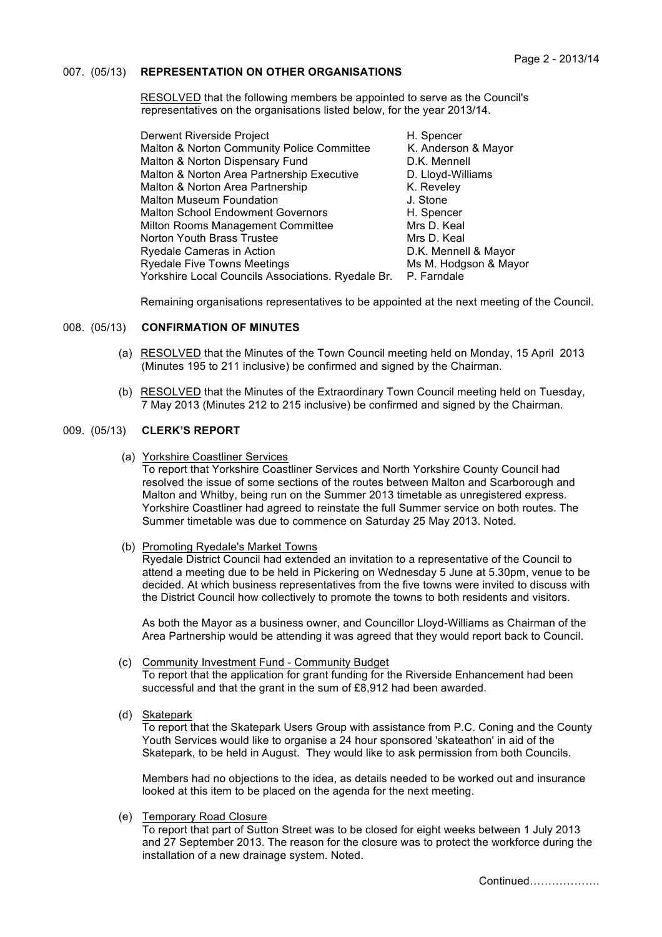### 007. (05/13) **REPRESENTATION ON OTHER ORGANISATIONS**

RESOLVED that the following members be appointed to serve as the Council's representatives on the organisations listed below, for the year 2013/14.

| Derwent Riverside Project                                      | H. Spencer            |
|----------------------------------------------------------------|-----------------------|
| Malton & Norton Community Police Committee                     | K. Anderson & Mayor   |
| Malton & Norton Dispensary Fund                                | D.K. Mennell          |
| Malton & Norton Area Partnership Executive                     | D. Lloyd-Williams     |
| Malton & Norton Area Partnership                               | K. Reveley            |
| <b>Malton Museum Foundation</b>                                | J. Stone              |
| <b>Malton School Endowment Governors</b>                       | H. Spencer            |
| Milton Rooms Management Committee                              | Mrs D. Keal           |
| Norton Youth Brass Trustee                                     | Mrs D. Keal           |
| Ryedale Cameras in Action                                      | D.K. Mennell & Mayor  |
| <b>Ryedale Five Towns Meetings</b>                             | Ms M. Hodgson & Mayor |
| Yorkshire Local Councils Associations. Ryedale Br. P. Farndale |                       |

Remaining organisations representatives to be appointed at the next meeting of the Council.

## 008. (05/13) **CONFIRMATION OF MINUTES**

- (a) RESOLVED that the Minutes of the Town Council meeting held on Monday, 15 April 2013 (Minutes 195 to 211 inclusive) be confirmed and signed by the Chairman.
- (b) RESOLVED that the Minutes of the Extraordinary Town Council meeting held on Tuesday, 7 May 2013 (Minutes 212 to 215 inclusive) be confirmed and signed by the Chairman.

### 009. (05/13) **CLERK'S REPORT**

(a) Yorkshire Coastliner Services

To report that Yorkshire Coastliner Services and North Yorkshire County Council had resolved the issue of some sections of the routes between Malton and Scarborough and Malton and Whitby, being run on the Summer 2013 timetable as unregistered express. Yorkshire Coastliner had agreed to reinstate the full Summer service on both routes. The Summer timetable was due to commence on Saturday 25 May 2013. Noted.

(b) Promoting Ryedale's Market Towns

Ryedale District Council had extended an invitation to a representative of the Council to attend a meeting due to be held in Pickering on Wednesday 5 June at 5.30pm, venue to be decided. At which business representatives from the five towns were invited to discuss with the District Council how collectively to promote the towns to both residents and visitors.

As both the Mayor as a business owner, and Councillor Lloyd-Williams as Chairman of the Area Partnership would be attending it was agreed that they would report back to Council.

- (c) Community Investment Fund Community Budget To report that the application for grant funding for the Riverside Enhancement had been successful and that the grant in the sum of £8,912 had been awarded.
- (d) Skatepark

To report that the Skatepark Users Group with assistance from P.C. Coning and the County Youth Services would like to organise a 24 hour sponsored 'skateathon' in aid of the Skatepark, to be held in August. They would like to ask permission from both Councils.

Members had no objections to the idea, as details needed to be worked out and insurance looked at this item to be placed on the agenda for the next meeting.

(e) Temporary Road Closure

To report that part of Sutton Street was to be closed for eight weeks between 1 July 2013 and 27 September 2013. The reason for the closure was to protect the workforce during the installation of a new drainage system. Noted.

Continued……………….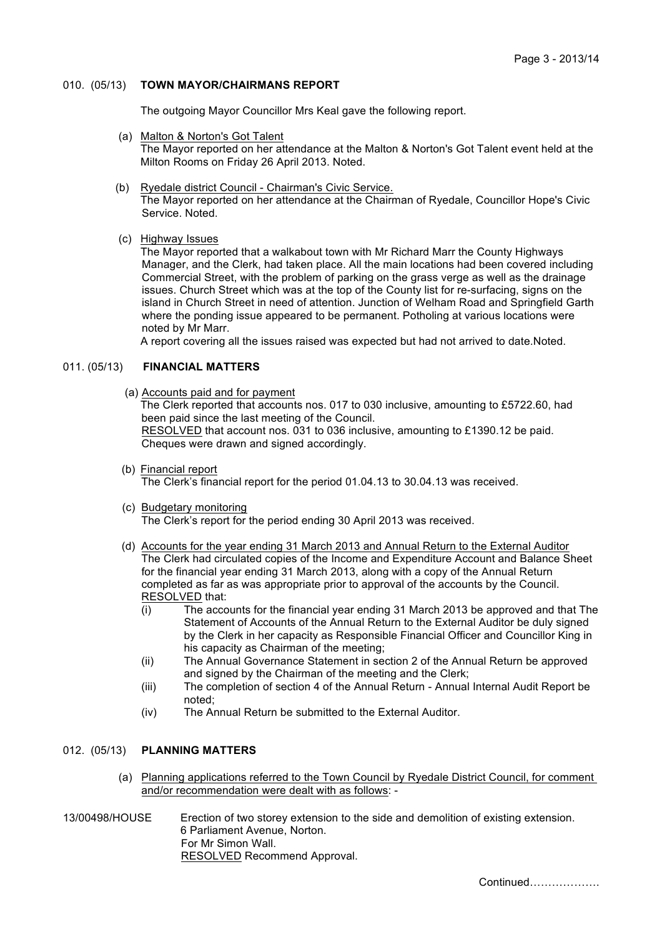### 010. (05/13) **TOWN MAYOR/CHAIRMANS REPORT**

The outgoing Mayor Councillor Mrs Keal gave the following report.

- (a) Malton & Norton's Got Talent The Mayor reported on her attendance at the Malton & Norton's Got Talent event held at the Milton Rooms on Friday 26 April 2013. Noted.
- (b) Ryedale district Council Chairman's Civic Service. The Mayor reported on her attendance at the Chairman of Ryedale, Councillor Hope's Civic Service. Noted.
- (c) Highway Issues

The Mayor reported that a walkabout town with Mr Richard Marr the County Highways Manager, and the Clerk, had taken place. All the main locations had been covered including Commercial Street, with the problem of parking on the grass verge as well as the drainage issues. Church Street which was at the top of the County list for re-surfacing, signs on the island in Church Street in need of attention. Junction of Welham Road and Springfield Garth where the ponding issue appeared to be permanent. Potholing at various locations were noted by Mr Marr.

A report covering all the issues raised was expected but had not arrived to date.Noted.

# 011. (05/13) **FINANCIAL MATTERS**

- (a) Accounts paid and for payment The Clerk reported that accounts nos. 017 to 030 inclusive, amounting to £5722.60, had been paid since the last meeting of the Council. RESOLVED that account nos. 031 to 036 inclusive, amounting to £1390.12 be paid. Cheques were drawn and signed accordingly.
- (b) Financial report The Clerk's financial report for the period 01.04.13 to 30.04.13 was received.
- (c) Budgetary monitoring The Clerk's report for the period ending 30 April 2013 was received.
- (d) Accounts for the year ending 31 March 2013 and Annual Return to the External Auditor The Clerk had circulated copies of the Income and Expenditure Account and Balance Sheet for the financial year ending 31 March 2013, along with a copy of the Annual Return completed as far as was appropriate prior to approval of the accounts by the Council. RESOLVED that:
	- (i) The accounts for the financial year ending 31 March 2013 be approved and that The Statement of Accounts of the Annual Return to the External Auditor be duly signed by the Clerk in her capacity as Responsible Financial Officer and Councillor King in his capacity as Chairman of the meeting;
	- (ii) The Annual Governance Statement in section 2 of the Annual Return be approved and signed by the Chairman of the meeting and the Clerk;
	- (iii) The completion of section 4 of the Annual Return Annual Internal Audit Report be noted;
	- (iv) The Annual Return be submitted to the External Auditor.

# 012. (05/13) **PLANNING MATTERS**

- (a) Planning applications referred to the Town Council by Ryedale District Council, for comment and/or recommendation were dealt with as follows: -
- 13/00498/HOUSE Erection of two storey extension to the side and demolition of existing extension. 6 Parliament Avenue, Norton. For Mr Simon Wall. RESOLVED Recommend Approval.

Continued……………….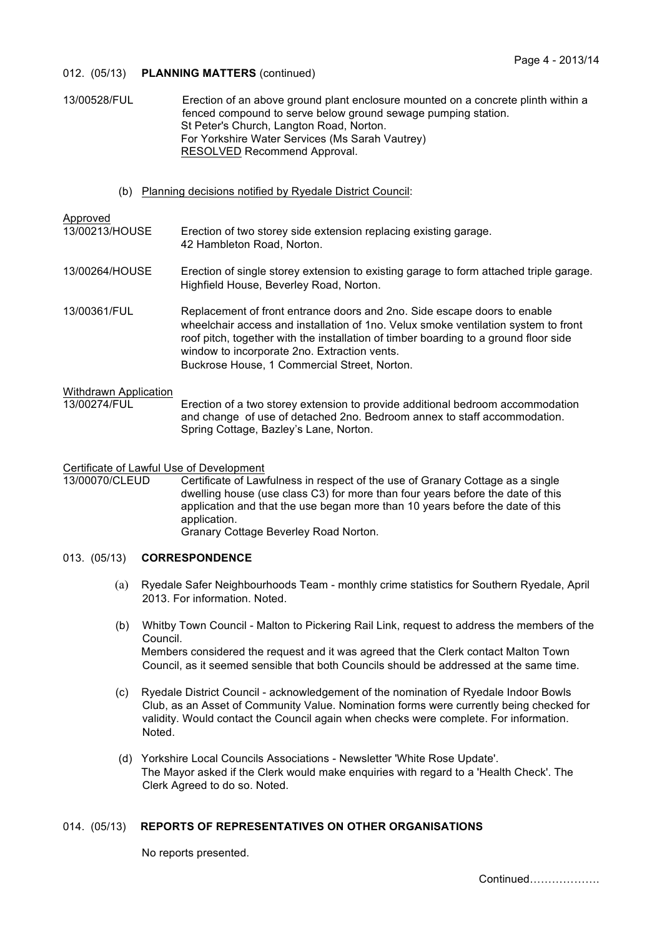### 012. (05/13) **PLANNING MATTERS** (continued)

13/00528/FUL Erection of an above ground plant enclosure mounted on a concrete plinth within a fenced compound to serve below ground sewage pumping station. St Peter's Church, Langton Road, Norton. For Yorkshire Water Services (Ms Sarah Vautrey) RESOLVED Recommend Approval.

(b) Planning decisions notified by Ryedale District Council:

## Approved

- 13/00213/HOUSE Erection of two storey side extension replacing existing garage. 42 Hambleton Road, Norton.
- 13/00264/HOUSE Erection of single storey extension to existing garage to form attached triple garage. Highfield House, Beverley Road, Norton.
- 13/00361/FUL Replacement of front entrance doors and 2no. Side escape doors to enable wheelchair access and installation of 1no. Velux smoke ventilation system to front roof pitch, together with the installation of timber boarding to a ground floor side window to incorporate 2no. Extraction vents. Buckrose House, 1 Commercial Street, Norton.

### Withdrawn Application

13/00274/FUL Erection of a two storey extension to provide additional bedroom accommodation and change of use of detached 2no. Bedroom annex to staff accommodation. Spring Cottage, Bazley's Lane, Norton.

### Certificate of Lawful Use of Development

13/00070/CLEUD Certificate of Lawfulness in respect of the use of Granary Cottage as a single dwelling house (use class C3) for more than four years before the date of this application and that the use began more than 10 years before the date of this application. Granary Cottage Beverley Road Norton.

### 013. (05/13) **CORRESPONDENCE**

- (a) Ryedale Safer Neighbourhoods Team monthly crime statistics for Southern Ryedale, April 2013. For information. Noted.
- (b) Whitby Town Council Malton to Pickering Rail Link, request to address the members of the Council. Members considered the request and it was agreed that the Clerk contact Malton Town Council, as it seemed sensible that both Councils should be addressed at the same time.
- (c) Ryedale District Council acknowledgement of the nomination of Ryedale Indoor Bowls Club, as an Asset of Community Value. Nomination forms were currently being checked for validity. Would contact the Council again when checks were complete. For information. Noted.
- (d) Yorkshire Local Councils Associations Newsletter 'White Rose Update'. The Mayor asked if the Clerk would make enquiries with regard to a 'Health Check'. The Clerk Agreed to do so. Noted.

# 014. (05/13) **REPORTS OF REPRESENTATIVES ON OTHER ORGANISATIONS**

No reports presented.